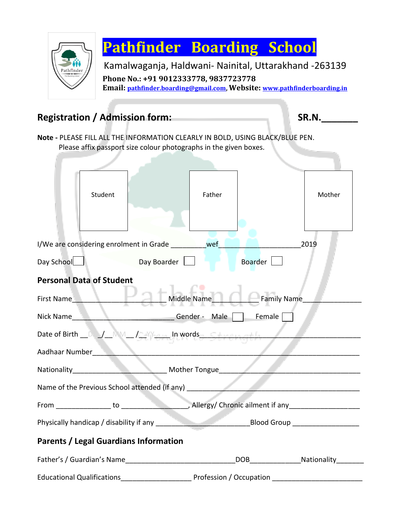

## **Pathfinder Boarding School**

Kamalwaganja, Haldwani- Nainital, Uttarakhand -263139 **Phone No.: +91 9012333778, 9837723778 Email: [pathfinder.boarding@gmail.com,](mailto:pathfinder.boarding@gmail.com) Website: [www.pathfinderboarding.in](http://www.pathfinderboarding.in/)**

## **Registration / Admission form: SR.N.\_\_\_\_\_\_\_**

**Note -** PLEASE FILL ALL THE INFORMATION CLEARLY IN BOLD, USING BLACK/BLUE PEN. Please affix passport size colour photographs in the given boxes.

|                                                                                   | Student |                         | Father |                                    | Mother |  |  |  |  |  |
|-----------------------------------------------------------------------------------|---------|-------------------------|--------|------------------------------------|--------|--|--|--|--|--|
| I/We are considering enrolment in Grade Wef<br>2019                               |         |                         |        |                                    |        |  |  |  |  |  |
| Day School<br>and                                                                 |         | Day Boarder <b>Day</b>  |        | Boarder                            |        |  |  |  |  |  |
| <b>Personal Data of Student</b>                                                   |         |                         |        |                                    |        |  |  |  |  |  |
|                                                                                   |         |                         |        | First Name Middle Name Family Name |        |  |  |  |  |  |
| Nick Name                                                                         |         | Gender - Male Female    |        |                                    |        |  |  |  |  |  |
| Date of Birth _ D _/_MM_ /_MM_ Jumpyords _ Strength                               |         |                         |        |                                    |        |  |  |  |  |  |
| $\sqrt{2\pi\left(1-\frac{1}{2}\right)}$<br>Aadhaar Number                         |         |                         |        |                                    |        |  |  |  |  |  |
| Mother Tongue                                                                     |         |                         |        |                                    |        |  |  |  |  |  |
| Name of the Previous School attended (if any) ___________________________________ |         |                         |        |                                    |        |  |  |  |  |  |
|                                                                                   |         |                         |        |                                    |        |  |  |  |  |  |
|                                                                                   |         |                         |        |                                    |        |  |  |  |  |  |
| <b>Parents / Legal Guardians Information</b>                                      |         |                         |        |                                    |        |  |  |  |  |  |
|                                                                                   |         |                         |        |                                    |        |  |  |  |  |  |
| <b>Educational Qualifications</b>                                                 |         | Profession / Occupation |        |                                    |        |  |  |  |  |  |